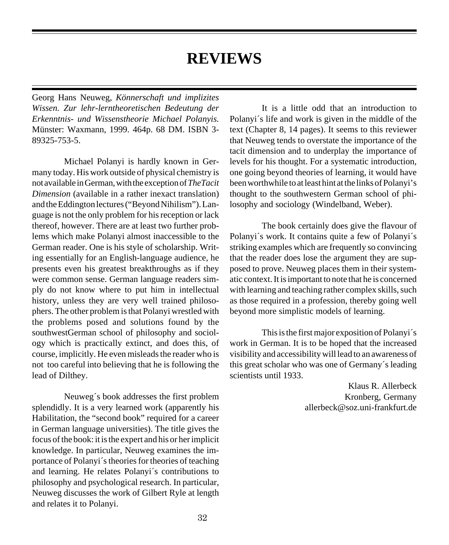## **REVIEWS**

Georg Hans Neuweg, *Könnerschaft und implizites Wissen. Zur lehr-lerntheoretischen Bedeutung der Erkenntnis- und Wissenstheorie Michael Polanyis.* Münster: Waxmann, 1999. 464p. 68 DM. ISBN 3- 89325-753-5.

Michael Polanyi is hardly known in Germany today. His work outside of physical chemistry is not available in German, with the exception of *TheTacit Dimension* (available in a rather inexact translation) and the Eddington lectures ("Beyond Nihilism"). Language is not the only problem for his reception or lack thereof, however. There are at least two further problems which make Polanyi almost inaccessible to the German reader. One is his style of scholarship. Writing essentially for an English-language audience, he presents even his greatest breakthroughs as if they were common sense. German language readers simply do not know where to put him in intellectual history, unless they are very well trained philosophers. The other problem is that Polanyi wrestled with the problems posed and solutions found by the southwestGerman school of philosophy and sociology which is practically extinct, and does this, of course, implicitly. He even misleads the reader who is not too careful into believing that he is following the lead of Dilthey.

Neuweg´s book addresses the first problem splendidly. It is a very learned work (apparently his Habilitation, the "second book" required for a career in German language universities). The title gives the focus of the book: it is the expert and his or her implicit knowledge. In particular, Neuweg examines the importance of Polanyi´s theories for theories of teaching and learning. He relates Polanyi´s contributions to philosophy and psychological research. In particular, Neuweg discusses the work of Gilbert Ryle at length and relates it to Polanyi.

It is a little odd that an introduction to Polanyi´s life and work is given in the middle of the text (Chapter 8, 14 pages). It seems to this reviewer that Neuweg tends to overstate the importance of the tacit dimension and to underplay the importance of levels for his thought. For a systematic introduction, one going beyond theories of learning, it would have been worthwhile to at least hint at the links of Polanyi's thought to the southwestern German school of philosophy and sociology (Windelband, Weber).

The book certainly does give the flavour of Polanyi´s work. It contains quite a few of Polanyi´s striking examples which are frequently so convincing that the reader does lose the argument they are supposed to prove. Neuweg places them in their systematic context. It is important to note that he is concerned with learning and teaching rather complex skills, such as those required in a profession, thereby going well beyond more simplistic models of learning.

This is the first major exposition of Polanyi´s work in German. It is to be hoped that the increased visibility and accessibility will lead to an awareness of this great scholar who was one of Germany´s leading scientists until 1933.

> Klaus R. Allerbeck Kronberg, Germany allerbeck@soz.uni-frankfurt.de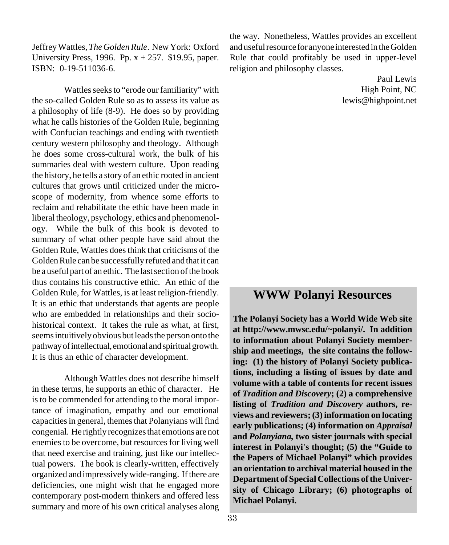Jeffrey Wattles, *The Golden Rule*. New York: Oxford University Press, 1996. Pp.  $x + 257$ . \$19.95, paper. ISBN: 0-19-511036-6.

Wattles seeks to "erode our familiarity" with the so-called Golden Rule so as to assess its value as a philosophy of life (8-9). He does so by providing what he calls histories of the Golden Rule, beginning with Confucian teachings and ending with twentieth century western philosophy and theology. Although he does some cross-cultural work, the bulk of his summaries deal with western culture. Upon reading the history, he tells a story of an ethic rooted in ancient cultures that grows until criticized under the microscope of modernity, from whence some efforts to reclaim and rehabilitate the ethic have been made in liberal theology, psychology, ethics and phenomenology. While the bulk of this book is devoted to summary of what other people have said about the Golden Rule, Wattles does think that criticisms of the Golden Rule can be successfully refuted and that it can be a useful part of an ethic. The last section of the book thus contains his constructive ethic. An ethic of the Golden Rule, for Wattles, is at least religion-friendly. It is an ethic that understands that agents are people who are embedded in relationships and their sociohistorical context. It takes the rule as what, at first, seems intuitively obvious but leads the person onto the pathway of intellectual, emotional and spiritual growth. It is thus an ethic of character development.

Although Wattles does not describe himself in these terms, he supports an ethic of character. He is to be commended for attending to the moral importance of imagination, empathy and our emotional capacities in general, themes that Polanyians will find congenial. He rightly recognizes that emotions are not enemies to be overcome, but resources for living well that need exercise and training, just like our intellectual powers. The book is clearly-written, effectively organized and impressively wide-ranging. If there are deficiencies, one might wish that he engaged more contemporary post-modern thinkers and offered less summary and more of his own critical analyses along

the way. Nonetheless, Wattles provides an excellent and useful resource for anyone interested in the Golden Rule that could profitably be used in upper-level religion and philosophy classes.

> Paul Lewis High Point, NC lewis@highpoint.net

## **WWW Polanyi Resources**

**The Polanyi Society has a World Wide Web site at http://www.mwsc.edu/~polanyi/. In addition to information about Polanyi Society membership and meetings, the site contains the following: (1) the history of Polanyi Society publications, including a listing of issues by date and volume with a table of contents for recent issues of** *Tradition and Discovery***; (2) a comprehensive listing of** *Tradition and Discovery* **authors, reviews and reviewers; (3) information on locating early publications; (4) information on** *Appraisal* **and** *Polanyiana,* **two sister journals with special interest in Polanyi's thought; (5) the "Guide to the Papers of Michael Polanyi" which provides an orientation to archival material housed in the Department of Special Collections of the University of Chicago Library; (6) photographs of Michael Polanyi.**